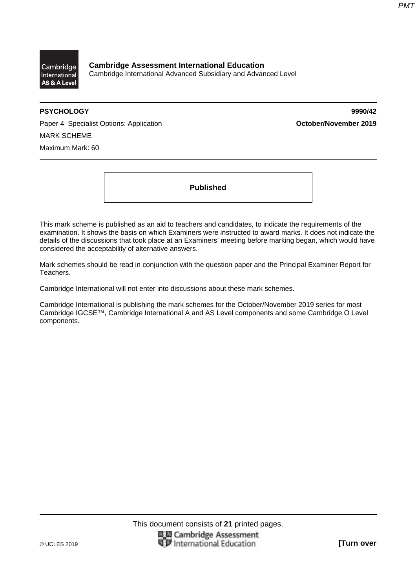

**Cambridge Assessment International Education**  Cambridge International Advanced Subsidiary and Advanced Level

**PSYCHOLOGY 9990/42** 

Paper 4 Specialist Options: Application **Container 1999 October/November 2019** MARK SCHEME Maximum Mark: 60

**Published** 

This mark scheme is published as an aid to teachers and candidates, to indicate the requirements of the examination. It shows the basis on which Examiners were instructed to award marks. It does not indicate the details of the discussions that took place at an Examiners' meeting before marking began, which would have considered the acceptability of alternative answers.

Mark schemes should be read in conjunction with the question paper and the Principal Examiner Report for Teachers.

Cambridge International will not enter into discussions about these mark schemes.

Cambridge International is publishing the mark schemes for the October/November 2019 series for most Cambridge IGCSE™, Cambridge International A and AS Level components and some Cambridge O Level components.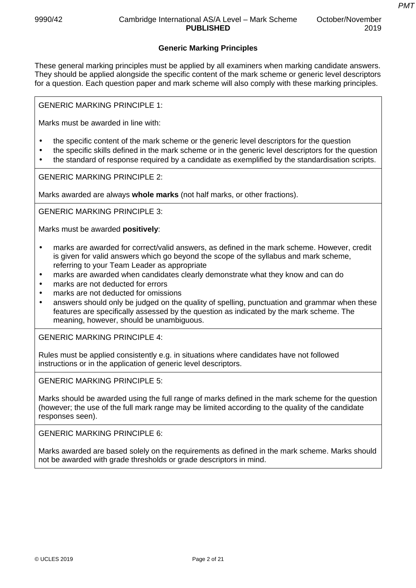*PMT*

### **Generic Marking Principles**

These general marking principles must be applied by all examiners when marking candidate answers. They should be applied alongside the specific content of the mark scheme or generic level descriptors for a question. Each question paper and mark scheme will also comply with these marking principles.

GENERIC MARKING PRINCIPLE 1:

Marks must be awarded in line with:

- the specific content of the mark scheme or the generic level descriptors for the question
- the specific skills defined in the mark scheme or in the generic level descriptors for the question
- the standard of response required by a candidate as exemplified by the standardisation scripts.

GENERIC MARKING PRINCIPLE 2:

Marks awarded are always **whole marks** (not half marks, or other fractions).

GENERIC MARKING PRINCIPLE 3:

Marks must be awarded **positively**:

- marks are awarded for correct/valid answers, as defined in the mark scheme. However, credit is given for valid answers which go beyond the scope of the syllabus and mark scheme, referring to your Team Leader as appropriate
- marks are awarded when candidates clearly demonstrate what they know and can do
- marks are not deducted for errors
- marks are not deducted for omissions
- answers should only be judged on the quality of spelling, punctuation and grammar when these features are specifically assessed by the question as indicated by the mark scheme. The meaning, however, should be unambiguous.

GENERIC MARKING PRINCIPLE 4:

Rules must be applied consistently e.g. in situations where candidates have not followed instructions or in the application of generic level descriptors.

GENERIC MARKING PRINCIPLE 5:

Marks should be awarded using the full range of marks defined in the mark scheme for the question (however; the use of the full mark range may be limited according to the quality of the candidate responses seen).

GENERIC MARKING PRINCIPLE 6:

Marks awarded are based solely on the requirements as defined in the mark scheme. Marks should not be awarded with grade thresholds or grade descriptors in mind.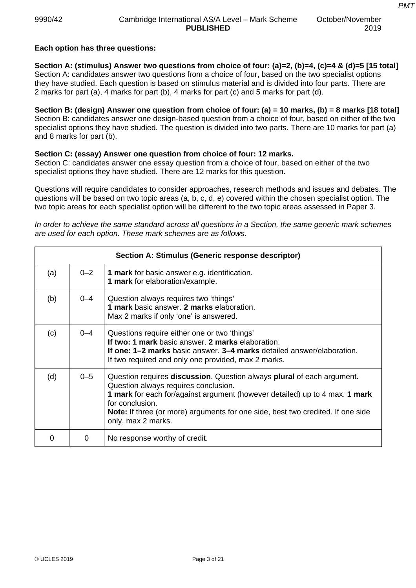### **Each option has three questions:**

**Section A: (stimulus) Answer two questions from choice of four: (a)=2, (b)=4, (c)=4 & (d)=5 [15 total]**  Section A: candidates answer two questions from a choice of four, based on the two specialist options they have studied. Each question is based on stimulus material and is divided into four parts. There are 2 marks for part (a), 4 marks for part (b), 4 marks for part (c) and 5 marks for part (d).

**Section B: (design) Answer one question from choice of four: (a) = 10 marks, (b) = 8 marks [18 total]**  Section B: candidates answer one design-based question from a choice of four, based on either of the two specialist options they have studied. The question is divided into two parts. There are 10 marks for part (a) and 8 marks for part (b).

#### **Section C: (essay) Answer one question from choice of four: 12 marks.**

Section C: candidates answer one essay question from a choice of four, based on either of the two specialist options they have studied. There are 12 marks for this question.

Questions will require candidates to consider approaches, research methods and issues and debates. The questions will be based on two topic areas (a, b, c, d, e) covered within the chosen specialist option. The two topic areas for each specialist option will be different to the two topic areas assessed in Paper 3.

*In order to achieve the same standard across all questions in a Section, the same generic mark schemes are used for each option. These mark schemes are as follows.* 

|     |         | Section A: Stimulus (Generic response descriptor)                                                                                                                                                                                                                                                                                |
|-----|---------|----------------------------------------------------------------------------------------------------------------------------------------------------------------------------------------------------------------------------------------------------------------------------------------------------------------------------------|
| (a) | $0 - 2$ | <b>1 mark</b> for basic answer e.g. identification.<br>1 mark for elaboration/example.                                                                                                                                                                                                                                           |
| (b) | $0 - 4$ | Question always requires two 'things'<br>1 mark basic answer. 2 marks elaboration.<br>Max 2 marks if only 'one' is answered.                                                                                                                                                                                                     |
| (c) | $0 - 4$ | Questions require either one or two 'things'<br>If two: 1 mark basic answer. 2 marks elaboration.<br><b>If one: 1–2 marks</b> basic answer, 3–4 marks detailed answer/elaboration.<br>If two required and only one provided, max 2 marks.                                                                                        |
| (d) | $0 - 5$ | Question requires discussion. Question always plural of each argument.<br>Question always requires conclusion.<br>1 mark for each for/against argument (however detailed) up to 4 max. 1 mark<br>for conclusion.<br><b>Note:</b> If three (or more) arguments for one side, best two credited. If one side<br>only, max 2 marks. |
|     | 0       | No response worthy of credit.                                                                                                                                                                                                                                                                                                    |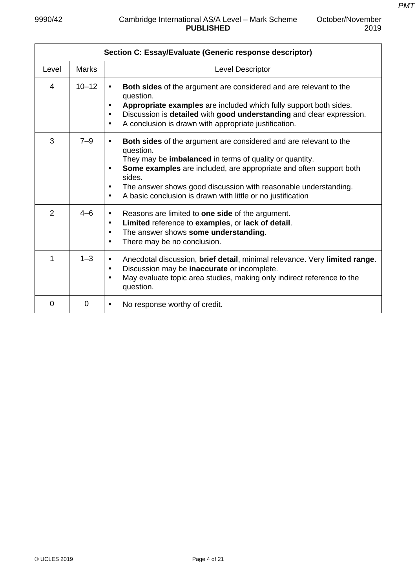| Section C: Essay/Evaluate (Generic response descriptor) |              |                                                                                                                                                                                                                                                                                                                                                                                                                               |  |  |
|---------------------------------------------------------|--------------|-------------------------------------------------------------------------------------------------------------------------------------------------------------------------------------------------------------------------------------------------------------------------------------------------------------------------------------------------------------------------------------------------------------------------------|--|--|
| Level                                                   | <b>Marks</b> | Level Descriptor                                                                                                                                                                                                                                                                                                                                                                                                              |  |  |
| 4                                                       | $10 - 12$    | <b>Both sides</b> of the argument are considered and are relevant to the<br>$\bullet$<br>question.<br>Appropriate examples are included which fully support both sides.<br>$\bullet$<br>Discussion is detailed with good understanding and clear expression.<br>$\bullet$<br>A conclusion is drawn with appropriate justification.<br>$\bullet$                                                                               |  |  |
| 3                                                       | $7 - 9$      | <b>Both sides</b> of the argument are considered and are relevant to the<br>$\bullet$<br>question.<br>They may be <b>imbalanced</b> in terms of quality or quantity.<br>Some examples are included, are appropriate and often support both<br>$\bullet$<br>sides.<br>The answer shows good discussion with reasonable understanding.<br>$\bullet$<br>A basic conclusion is drawn with little or no justification<br>$\bullet$ |  |  |
| 2                                                       | $4 - 6$      | Reasons are limited to <b>one side</b> of the argument.<br>$\bullet$<br>Limited reference to examples, or lack of detail.<br>$\bullet$<br>The answer shows some understanding.<br>$\bullet$<br>There may be no conclusion.<br>$\bullet$                                                                                                                                                                                       |  |  |
| 1                                                       | $1 - 3$      | Anecdotal discussion, brief detail, minimal relevance. Very limited range.<br>$\bullet$<br>Discussion may be inaccurate or incomplete.<br>$\bullet$<br>May evaluate topic area studies, making only indirect reference to the<br>$\bullet$<br>question.                                                                                                                                                                       |  |  |
| 0                                                       | $\mathbf 0$  | No response worthy of credit.<br>$\bullet$                                                                                                                                                                                                                                                                                                                                                                                    |  |  |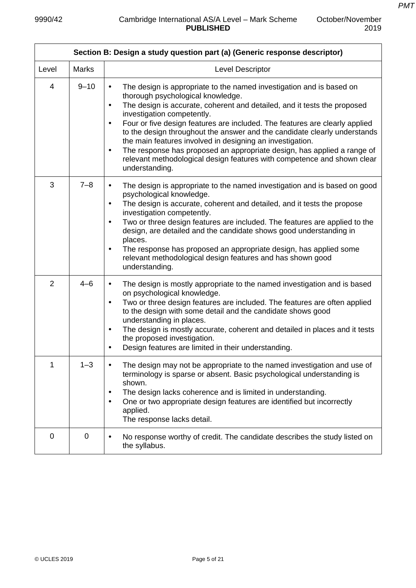| Section B: Design a study question part (a) (Generic response descriptor) |              |                                                                                                                                                                                                                                                                                                                                                                                                                                                                                                                                                                                                                                                                          |  |  |
|---------------------------------------------------------------------------|--------------|--------------------------------------------------------------------------------------------------------------------------------------------------------------------------------------------------------------------------------------------------------------------------------------------------------------------------------------------------------------------------------------------------------------------------------------------------------------------------------------------------------------------------------------------------------------------------------------------------------------------------------------------------------------------------|--|--|
| Level                                                                     | <b>Marks</b> | Level Descriptor                                                                                                                                                                                                                                                                                                                                                                                                                                                                                                                                                                                                                                                         |  |  |
| 4                                                                         | $9 - 10$     | The design is appropriate to the named investigation and is based on<br>$\bullet$<br>thorough psychological knowledge.<br>The design is accurate, coherent and detailed, and it tests the proposed<br>$\bullet$<br>investigation competently.<br>Four or five design features are included. The features are clearly applied<br>$\bullet$<br>to the design throughout the answer and the candidate clearly understands<br>the main features involved in designing an investigation.<br>The response has proposed an appropriate design, has applied a range of<br>$\bullet$<br>relevant methodological design features with competence and shown clear<br>understanding. |  |  |
| 3                                                                         | $7 - 8$      | The design is appropriate to the named investigation and is based on good<br>$\bullet$<br>psychological knowledge.<br>The design is accurate, coherent and detailed, and it tests the propose<br>$\bullet$<br>investigation competently.<br>Two or three design features are included. The features are applied to the<br>$\bullet$<br>design, are detailed and the candidate shows good understanding in<br>places.<br>The response has proposed an appropriate design, has applied some<br>$\bullet$<br>relevant methodological design features and has shown good<br>understanding.                                                                                   |  |  |
| $\overline{2}$                                                            | $4 - 6$      | The design is mostly appropriate to the named investigation and is based<br>$\bullet$<br>on psychological knowledge.<br>Two or three design features are included. The features are often applied<br>$\bullet$<br>to the design with some detail and the candidate shows good<br>understanding in places.<br>The design is mostly accurate, coherent and detailed in places and it tests<br>$\bullet$<br>the proposed investigation.<br>Design features are limited in their understanding.                                                                                                                                                                              |  |  |
| 1                                                                         | $1 - 3$      | The design may not be appropriate to the named investigation and use of<br>terminology is sparse or absent. Basic psychological understanding is<br>shown.<br>The design lacks coherence and is limited in understanding.<br>$\bullet$<br>One or two appropriate design features are identified but incorrectly<br>$\bullet$<br>applied.<br>The response lacks detail.                                                                                                                                                                                                                                                                                                   |  |  |
| 0                                                                         | 0            | No response worthy of credit. The candidate describes the study listed on<br>$\bullet$<br>the syllabus.                                                                                                                                                                                                                                                                                                                                                                                                                                                                                                                                                                  |  |  |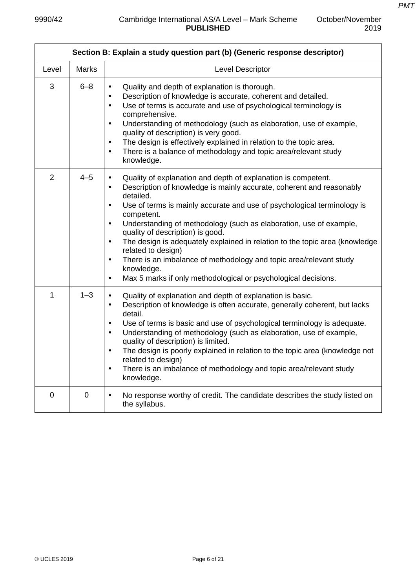October/November

|             | Section B: Explain a study question part (b) (Generic response descriptor) |                                                                                                                                                                                                                                                                                                                                                                                                                                                                                                                                                                                                                                                                                                |  |
|-------------|----------------------------------------------------------------------------|------------------------------------------------------------------------------------------------------------------------------------------------------------------------------------------------------------------------------------------------------------------------------------------------------------------------------------------------------------------------------------------------------------------------------------------------------------------------------------------------------------------------------------------------------------------------------------------------------------------------------------------------------------------------------------------------|--|
| Level       | <b>Marks</b>                                                               | Level Descriptor                                                                                                                                                                                                                                                                                                                                                                                                                                                                                                                                                                                                                                                                               |  |
| 3           | $6 - 8$                                                                    | Quality and depth of explanation is thorough.<br>$\bullet$<br>Description of knowledge is accurate, coherent and detailed.<br>Use of terms is accurate and use of psychological terminology is<br>٠<br>comprehensive.<br>Understanding of methodology (such as elaboration, use of example,<br>$\bullet$<br>quality of description) is very good.<br>The design is effectively explained in relation to the topic area.<br>$\bullet$<br>There is a balance of methodology and topic area/relevant study<br>$\bullet$<br>knowledge.                                                                                                                                                             |  |
| 2           | $4 - 5$                                                                    | Quality of explanation and depth of explanation is competent.<br>Description of knowledge is mainly accurate, coherent and reasonably<br>$\bullet$<br>detailed.<br>Use of terms is mainly accurate and use of psychological terminology is<br>$\bullet$<br>competent.<br>Understanding of methodology (such as elaboration, use of example,<br>$\bullet$<br>quality of description) is good.<br>The design is adequately explained in relation to the topic area (knowledge<br>$\bullet$<br>related to design)<br>There is an imbalance of methodology and topic area/relevant study<br>$\bullet$<br>knowledge.<br>Max 5 marks if only methodological or psychological decisions.<br>$\bullet$ |  |
| 1           | $1 - 3$                                                                    | Quality of explanation and depth of explanation is basic.<br>$\bullet$<br>Description of knowledge is often accurate, generally coherent, but lacks<br>$\bullet$<br>detail.<br>Use of terms is basic and use of psychological terminology is adequate.<br>$\bullet$<br>Understanding of methodology (such as elaboration, use of example,<br>$\bullet$<br>quality of description) is limited.<br>The design is poorly explained in relation to the topic area (knowledge not<br>related to design)<br>There is an imbalance of methodology and topic area/relevant study<br>$\bullet$<br>knowledge.                                                                                            |  |
| $\mathbf 0$ | $\mathbf 0$                                                                | No response worthy of credit. The candidate describes the study listed on<br>$\bullet$<br>the syllabus.                                                                                                                                                                                                                                                                                                                                                                                                                                                                                                                                                                                        |  |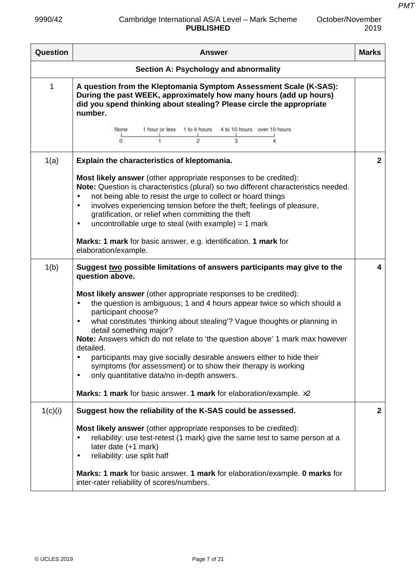| October/November |  |
|------------------|--|
| 2019             |  |

| <b>Question</b> | <b>Answer</b>                                                                                                                                                                                                                                                                                                                                                                                                                                                                                                                                                                                                                                                                   | <b>Marks</b> |
|-----------------|---------------------------------------------------------------------------------------------------------------------------------------------------------------------------------------------------------------------------------------------------------------------------------------------------------------------------------------------------------------------------------------------------------------------------------------------------------------------------------------------------------------------------------------------------------------------------------------------------------------------------------------------------------------------------------|--------------|
|                 | Section A: Psychology and abnormality                                                                                                                                                                                                                                                                                                                                                                                                                                                                                                                                                                                                                                           |              |
| 1               | A question from the Kleptomania Symptom Assessment Scale (K-SAS):<br>During the past WEEK, approximately how many hours (add up hours)<br>did you spend thinking about stealing? Please circle the appropriate<br>number.<br>1 hour or less 1 to 4 hours 4 to 10 hours over 10 hours<br>None:<br>o<br>2<br>з                                                                                                                                                                                                                                                                                                                                                                    |              |
| 1(a)            | Explain the characteristics of kleptomania.                                                                                                                                                                                                                                                                                                                                                                                                                                                                                                                                                                                                                                     | $\mathbf{2}$ |
|                 | <b>Most likely answer</b> (other appropriate responses to be credited):<br>Note: Question is characteristics (plural) so two different characteristics needed.<br>not being able to resist the urge to collect or hoard things<br>$\bullet$<br>involves experiencing tension before the theft; feelings of pleasure,<br>$\bullet$<br>gratification, or relief when committing the theft<br>uncontrollable urge to steal (with example) = $1$ mark<br>$\bullet$<br>Marks: 1 mark for basic answer, e.g. identification. 1 mark for<br>elaboration/example.                                                                                                                       |              |
| 1(b)            | Suggest two possible limitations of answers participants may give to the<br>question above.                                                                                                                                                                                                                                                                                                                                                                                                                                                                                                                                                                                     | 4            |
|                 | <b>Most likely answer</b> (other appropriate responses to be credited):<br>the question is ambiguous; 1 and 4 hours appear twice so which should a<br>participant choose?<br>what constitutes 'thinking about stealing'? Vague thoughts or planning in<br>$\bullet$<br>detail something major?<br>Note: Answers which do not relate to 'the question above' 1 mark max however<br>detailed.<br>participants may give socially desirable answers either to hide their<br>symptoms (for assessment) or to show their therapy is working<br>only quantitative data/no in-depth answers.<br>$\bullet$<br>Marks: 1 mark for basic answer. 1 mark for elaboration/example. $\times 2$ |              |
| 1(c)(i)         | Suggest how the reliability of the K-SAS could be assessed.                                                                                                                                                                                                                                                                                                                                                                                                                                                                                                                                                                                                                     | $\mathbf{2}$ |
|                 | Most likely answer (other appropriate responses to be credited):<br>reliability: use test-retest (1 mark) give the same test to same person at a<br>later date (+1 mark)<br>reliability: use split half<br>$\bullet$<br><b>Marks: 1 mark</b> for basic answer. 1 mark for elaboration/example. 0 marks for<br>inter-rater reliability of scores/numbers.                                                                                                                                                                                                                                                                                                                        |              |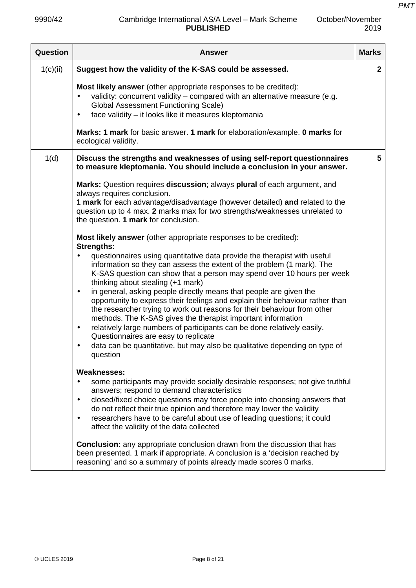| Question | <b>Answer</b>                                                                                                                                                                                                                                                                                                                                                                                                                                                                                                                                                                                                                                                                                                                                                                                                                                                                                                                                                                                                                                                                                                                                                                                                                              | <b>Marks</b> |
|----------|--------------------------------------------------------------------------------------------------------------------------------------------------------------------------------------------------------------------------------------------------------------------------------------------------------------------------------------------------------------------------------------------------------------------------------------------------------------------------------------------------------------------------------------------------------------------------------------------------------------------------------------------------------------------------------------------------------------------------------------------------------------------------------------------------------------------------------------------------------------------------------------------------------------------------------------------------------------------------------------------------------------------------------------------------------------------------------------------------------------------------------------------------------------------------------------------------------------------------------------------|--------------|
| 1(c)(ii) | Suggest how the validity of the K-SAS could be assessed.                                                                                                                                                                                                                                                                                                                                                                                                                                                                                                                                                                                                                                                                                                                                                                                                                                                                                                                                                                                                                                                                                                                                                                                   | $\mathbf{2}$ |
|          | Most likely answer (other appropriate responses to be credited):<br>validity: concurrent validity - compared with an alternative measure (e.g.<br><b>Global Assessment Functioning Scale)</b><br>face validity - it looks like it measures kleptomania<br>٠<br>Marks: 1 mark for basic answer. 1 mark for elaboration/example. 0 marks for<br>ecological validity.                                                                                                                                                                                                                                                                                                                                                                                                                                                                                                                                                                                                                                                                                                                                                                                                                                                                         |              |
| 1(d)     | Discuss the strengths and weaknesses of using self-report questionnaires<br>to measure kleptomania. You should include a conclusion in your answer.                                                                                                                                                                                                                                                                                                                                                                                                                                                                                                                                                                                                                                                                                                                                                                                                                                                                                                                                                                                                                                                                                        | 5            |
|          | Marks: Question requires discussion; always plural of each argument, and<br>always requires conclusion.<br>1 mark for each advantage/disadvantage (however detailed) and related to the<br>question up to 4 max. 2 marks max for two strengths/weaknesses unrelated to<br>the question. 1 mark for conclusion.<br><b>Most likely answer</b> (other appropriate responses to be credited):<br><b>Strengths:</b><br>questionnaires using quantitative data provide the therapist with useful<br>information so they can assess the extent of the problem (1 mark). The<br>K-SAS question can show that a person may spend over 10 hours per week<br>thinking about stealing (+1 mark)<br>in general, asking people directly means that people are given the<br>$\bullet$<br>opportunity to express their feelings and explain their behaviour rather than<br>the researcher trying to work out reasons for their behaviour from other<br>methods. The K-SAS gives the therapist important information<br>relatively large numbers of participants can be done relatively easily.<br>$\bullet$<br>Questionnaires are easy to replicate<br>data can be quantitative, but may also be qualitative depending on type of<br>$\bullet$<br>question |              |
|          | <b>Weaknesses:</b><br>some participants may provide socially desirable responses; not give truthful<br>$\bullet$<br>answers; respond to demand characteristics<br>closed/fixed choice questions may force people into choosing answers that<br>٠<br>do not reflect their true opinion and therefore may lower the validity<br>researchers have to be careful about use of leading questions; it could<br>$\bullet$<br>affect the validity of the data collected<br><b>Conclusion:</b> any appropriate conclusion drawn from the discussion that has                                                                                                                                                                                                                                                                                                                                                                                                                                                                                                                                                                                                                                                                                        |              |

been presented. 1 mark if appropriate. A conclusion is a 'decision reached by reasoning' and so a summary of points already made scores 0 marks.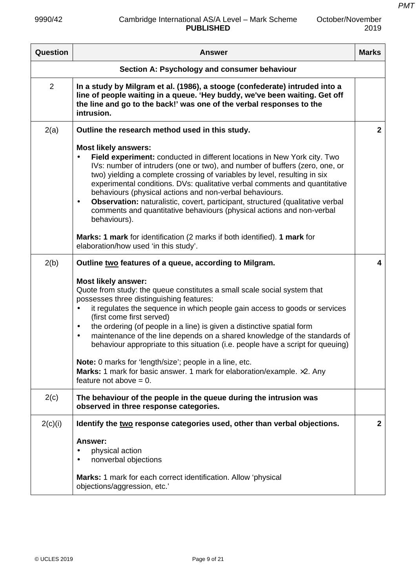| October/November |
|------------------|
| 2019             |

| Question       | <b>Answer</b>                                                                                                                                                                                                                                                                                                                                                                                                                                                                                                                                                                                                                                                                                                                    | <b>Marks</b>            |
|----------------|----------------------------------------------------------------------------------------------------------------------------------------------------------------------------------------------------------------------------------------------------------------------------------------------------------------------------------------------------------------------------------------------------------------------------------------------------------------------------------------------------------------------------------------------------------------------------------------------------------------------------------------------------------------------------------------------------------------------------------|-------------------------|
|                | Section A: Psychology and consumer behaviour                                                                                                                                                                                                                                                                                                                                                                                                                                                                                                                                                                                                                                                                                     |                         |
| $\overline{2}$ | In a study by Milgram et al. (1986), a stooge (confederate) intruded into a<br>line of people waiting in a queue. 'Hey buddy, we've been waiting. Get off<br>the line and go to the back!' was one of the verbal responses to the<br>intrusion.                                                                                                                                                                                                                                                                                                                                                                                                                                                                                  |                         |
| 2(a)           | Outline the research method used in this study.                                                                                                                                                                                                                                                                                                                                                                                                                                                                                                                                                                                                                                                                                  | $\overline{2}$          |
|                | <b>Most likely answers:</b><br>Field experiment: conducted in different locations in New York city. Two<br>$\bullet$<br>IVs: number of intruders (one or two), and number of buffers (zero, one, or<br>two) yielding a complete crossing of variables by level, resulting in six<br>experimental conditions. DVs: qualitative verbal comments and quantitative<br>behaviours (physical actions and non-verbal behaviours.<br>Observation: naturalistic, covert, participant, structured (qualitative verbal<br>$\bullet$<br>comments and quantitative behaviours (physical actions and non-verbal<br>behaviours).                                                                                                                |                         |
|                | Marks: 1 mark for identification (2 marks if both identified). 1 mark for<br>elaboration/how used 'in this study'.                                                                                                                                                                                                                                                                                                                                                                                                                                                                                                                                                                                                               |                         |
| 2(b)           | Outline two features of a queue, according to Milgram.                                                                                                                                                                                                                                                                                                                                                                                                                                                                                                                                                                                                                                                                           | $\overline{\mathbf{4}}$ |
|                | <b>Most likely answer:</b><br>Quote from study: the queue constitutes a small scale social system that<br>possesses three distinguishing features:<br>it regulates the sequence in which people gain access to goods or services<br>$\bullet$<br>(first come first served)<br>the ordering (of people in a line) is given a distinctive spatial form<br>$\bullet$<br>maintenance of the line depends on a shared knowledge of the standards of<br>$\bullet$<br>behaviour appropriate to this situation (i.e. people have a script for queuing)<br>Note: 0 marks for 'length/size'; people in a line, etc.<br><b>Marks:</b> 1 mark for basic answer. 1 mark for elaboration/example. $\times$ 2. Any<br>feature not above $= 0$ . |                         |
| 2(c)           | The behaviour of the people in the queue during the intrusion was<br>observed in three response categories.                                                                                                                                                                                                                                                                                                                                                                                                                                                                                                                                                                                                                      |                         |
| 2(c)(i)        | Identify the two response categories used, other than verbal objections.                                                                                                                                                                                                                                                                                                                                                                                                                                                                                                                                                                                                                                                         | $\mathbf{2}$            |
|                | Answer:<br>physical action<br>$\bullet$<br>nonverbal objections<br>$\bullet$<br>Marks: 1 mark for each correct identification. Allow 'physical<br>objections/aggression, etc.'                                                                                                                                                                                                                                                                                                                                                                                                                                                                                                                                                   |                         |
|                |                                                                                                                                                                                                                                                                                                                                                                                                                                                                                                                                                                                                                                                                                                                                  |                         |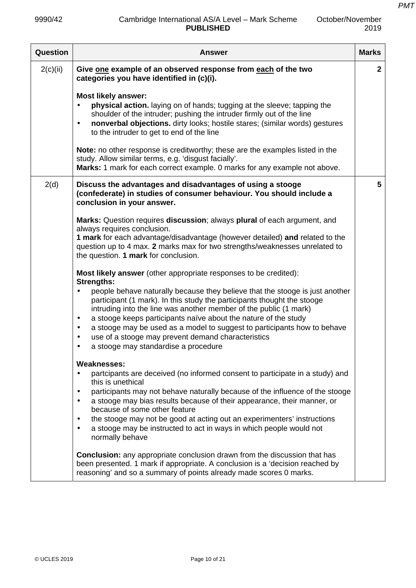October/November

| Question | <b>Answer</b>                                                                                                                                                                                                                                                                                                                                                                                                                                                                                                                              | <b>Marks</b> |
|----------|--------------------------------------------------------------------------------------------------------------------------------------------------------------------------------------------------------------------------------------------------------------------------------------------------------------------------------------------------------------------------------------------------------------------------------------------------------------------------------------------------------------------------------------------|--------------|
| 2(c)(ii) | Give one example of an observed response from each of the two<br>categories you have identified in (c)(i).                                                                                                                                                                                                                                                                                                                                                                                                                                 | $\mathbf{2}$ |
|          | <b>Most likely answer:</b><br>physical action. laying on of hands; tugging at the sleeve; tapping the<br>shoulder of the intruder; pushing the intruder firmly out of the line<br>nonverbal objections. dirty looks; hostile stares; (similar words) gestures<br>$\bullet$<br>to the intruder to get to end of the line                                                                                                                                                                                                                    |              |
|          | Note: no other response is creditworthy; these are the examples listed in the<br>study. Allow similar terms, e.g. 'disgust facially'.<br>Marks: 1 mark for each correct example. 0 marks for any example not above.                                                                                                                                                                                                                                                                                                                        |              |
| 2(d)     | Discuss the advantages and disadvantages of using a stooge<br>(confederate) in studies of consumer behaviour. You should include a<br>conclusion in your answer.                                                                                                                                                                                                                                                                                                                                                                           | 5            |
|          | Marks: Question requires discussion; always plural of each argument, and<br>always requires conclusion.<br>1 mark for each advantage/disadvantage (however detailed) and related to the<br>question up to 4 max. 2 marks max for two strengths/weaknesses unrelated to<br>the question. 1 mark for conclusion.                                                                                                                                                                                                                             |              |
|          | <b>Most likely answer</b> (other appropriate responses to be credited):<br><b>Strengths:</b>                                                                                                                                                                                                                                                                                                                                                                                                                                               |              |
|          | people behave naturally because they believe that the stooge is just another<br>$\bullet$<br>participant (1 mark). In this study the participants thought the stooge<br>intruding into the line was another member of the public (1 mark)<br>a stooge keeps participants naïve about the nature of the study<br>$\bullet$<br>a stooge may be used as a model to suggest to participants how to behave<br>$\bullet$<br>use of a stooge may prevent demand characteristics<br>$\bullet$<br>a stooge may standardise a procedure<br>$\bullet$ |              |
|          | <b>Weaknesses:</b>                                                                                                                                                                                                                                                                                                                                                                                                                                                                                                                         |              |
|          | partcipants are deceived (no informed consent to participate in a study) and<br>this is unethical<br>participants may not behave naturally because of the influence of the stooge<br>$\bullet$<br>a stooge may bias results because of their appearance, their manner, or<br>because of some other feature<br>the stooge may not be good at acting out an experimenters' instructions<br>a stooge may be instructed to act in ways in which people would not<br>normally behave                                                            |              |
|          | <b>Conclusion:</b> any appropriate conclusion drawn from the discussion that has<br>been presented. 1 mark if appropriate. A conclusion is a 'decision reached by<br>reasoning' and so a summary of points already made scores 0 marks.                                                                                                                                                                                                                                                                                                    |              |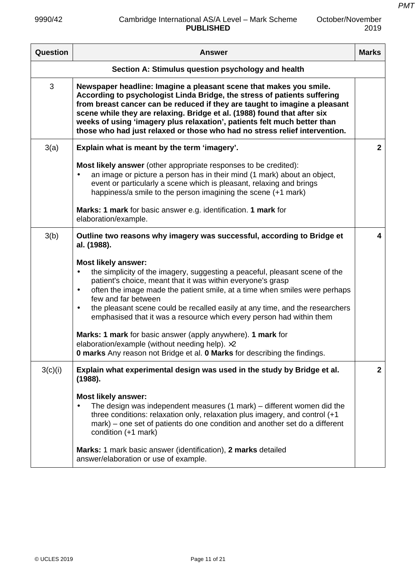| Question | <b>Answer</b>                                                                                                                                                                                                                                                                                                                                                                                                                                                                | <b>Marks</b>   |
|----------|------------------------------------------------------------------------------------------------------------------------------------------------------------------------------------------------------------------------------------------------------------------------------------------------------------------------------------------------------------------------------------------------------------------------------------------------------------------------------|----------------|
|          | Section A: Stimulus question psychology and health                                                                                                                                                                                                                                                                                                                                                                                                                           |                |
| 3        | Newspaper headline: Imagine a pleasant scene that makes you smile.<br>According to psychologist Linda Bridge, the stress of patients suffering<br>from breast cancer can be reduced if they are taught to imagine a pleasant<br>scene while they are relaxing. Bridge et al. (1988) found that after six<br>weeks of using 'imagery plus relaxation', patients felt much better than<br>those who had just relaxed or those who had no stress relief intervention.           |                |
| 3(a)     | Explain what is meant by the term 'imagery'.                                                                                                                                                                                                                                                                                                                                                                                                                                 | $\overline{2}$ |
|          | Most likely answer (other appropriate responses to be credited):<br>an image or picture a person has in their mind (1 mark) about an object,<br>$\bullet$<br>event or particularly a scene which is pleasant, relaxing and brings<br>happiness/a smile to the person imagining the scene (+1 mark)                                                                                                                                                                           |                |
|          | Marks: 1 mark for basic answer e.g. identification. 1 mark for<br>elaboration/example.                                                                                                                                                                                                                                                                                                                                                                                       |                |
| 3(b)     | Outline two reasons why imagery was successful, according to Bridge et<br>al. (1988).                                                                                                                                                                                                                                                                                                                                                                                        | 4              |
|          | <b>Most likely answer:</b><br>the simplicity of the imagery, suggesting a peaceful, pleasant scene of the<br>$\bullet$<br>patient's choice, meant that it was within everyone's grasp<br>often the image made the patient smile, at a time when smiles were perhaps<br>$\bullet$<br>few and far between<br>the pleasant scene could be recalled easily at any time, and the researchers<br>$\bullet$<br>emphasised that it was a resource which every person had within them |                |
|          | Marks: 1 mark for basic answer (apply anywhere). 1 mark for<br>elaboration/example (without needing help). ×2<br>0 marks Any reason not Bridge et al. 0 Marks for describing the findings.                                                                                                                                                                                                                                                                                   |                |
| 3(c)(i)  | Explain what experimental design was used in the study by Bridge et al.<br>(1988).                                                                                                                                                                                                                                                                                                                                                                                           | $\mathbf{2}$   |
|          | <b>Most likely answer:</b><br>The design was independent measures (1 mark) – different women did the<br>$\bullet$<br>three conditions: relaxation only, relaxation plus imagery, and control (+1<br>mark) – one set of patients do one condition and another set do a different<br>condition (+1 mark)                                                                                                                                                                       |                |
|          | Marks: 1 mark basic answer (identification), 2 marks detailed<br>answer/elaboration or use of example.                                                                                                                                                                                                                                                                                                                                                                       |                |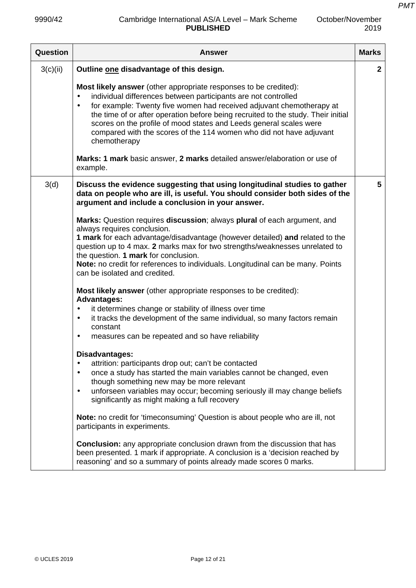October/November

| <b>Question</b> | <b>Answer</b>                                                                                                                                                                                                                                                                                                                                                                                                                                                                                                 | <b>Marks</b> |
|-----------------|---------------------------------------------------------------------------------------------------------------------------------------------------------------------------------------------------------------------------------------------------------------------------------------------------------------------------------------------------------------------------------------------------------------------------------------------------------------------------------------------------------------|--------------|
| 3(c)(ii)        | Outline one disadvantage of this design.                                                                                                                                                                                                                                                                                                                                                                                                                                                                      | $\mathbf{2}$ |
|                 | Most likely answer (other appropriate responses to be credited):<br>individual differences between participants are not controlled<br>$\bullet$<br>for example: Twenty five women had received adjuvant chemotherapy at<br>$\bullet$<br>the time of or after operation before being recruited to the study. Their initial<br>scores on the profile of mood states and Leeds general scales were<br>compared with the scores of the 114 women who did not have adjuvant<br>chemotherapy                        |              |
|                 | Marks: 1 mark basic answer, 2 marks detailed answer/elaboration or use of<br>example.                                                                                                                                                                                                                                                                                                                                                                                                                         |              |
| 3(d)            | Discuss the evidence suggesting that using longitudinal studies to gather<br>data on people who are ill, is useful. You should consider both sides of the<br>argument and include a conclusion in your answer.                                                                                                                                                                                                                                                                                                | 5            |
|                 | Marks: Question requires discussion; always plural of each argument, and<br>always requires conclusion.<br>1 mark for each advantage/disadvantage (however detailed) and related to the<br>question up to 4 max. 2 marks max for two strengths/weaknesses unrelated to<br>the question. 1 mark for conclusion.<br>Note: no credit for references to individuals. Longitudinal can be many. Points<br>can be isolated and credited.<br><b>Most likely answer</b> (other appropriate responses to be credited): |              |
|                 | <b>Advantages:</b><br>it determines change or stability of illness over time<br>$\bullet$<br>it tracks the development of the same individual, so many factors remain<br>$\bullet$<br>constant<br>measures can be repeated and so have reliability<br>$\bullet$                                                                                                                                                                                                                                               |              |
|                 | Disadvantages:<br>attrition: participants drop out; can't be contacted<br>$\bullet$<br>once a study has started the main variables cannot be changed, even<br>$\bullet$<br>though something new may be more relevant<br>unforseen variables may occur; becoming seriously ill may change beliefs<br>$\bullet$<br>significantly as might making a full recovery                                                                                                                                                |              |
|                 | Note: no credit for 'timeconsuming' Question is about people who are ill, not<br>participants in experiments.                                                                                                                                                                                                                                                                                                                                                                                                 |              |
|                 | <b>Conclusion:</b> any appropriate conclusion drawn from the discussion that has<br>been presented. 1 mark if appropriate. A conclusion is a 'decision reached by<br>reasoning' and so a summary of points already made scores 0 marks.                                                                                                                                                                                                                                                                       |              |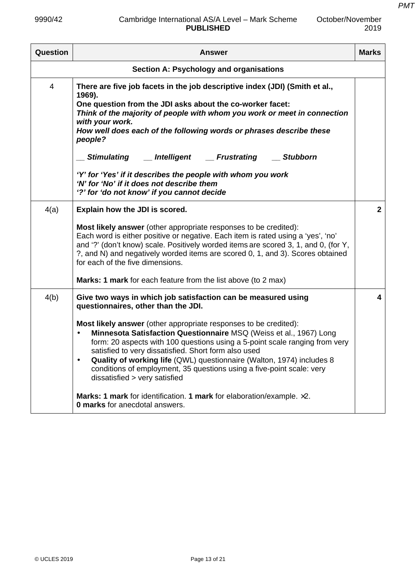*PMT*

| <b>Question</b> | <b>Answer</b>                                                                                                                                                                                                                                                                                                                                                                                                                                                                                                                                                                                                                                                                                              | <b>Marks</b>            |
|-----------------|------------------------------------------------------------------------------------------------------------------------------------------------------------------------------------------------------------------------------------------------------------------------------------------------------------------------------------------------------------------------------------------------------------------------------------------------------------------------------------------------------------------------------------------------------------------------------------------------------------------------------------------------------------------------------------------------------------|-------------------------|
|                 | Section A: Psychology and organisations                                                                                                                                                                                                                                                                                                                                                                                                                                                                                                                                                                                                                                                                    |                         |
| 4               | There are five job facets in the job descriptive index (JDI) (Smith et al.,<br>1969).<br>One question from the JDI asks about the co-worker facet:<br>Think of the majority of people with whom you work or meet in connection<br>with your work.<br>How well does each of the following words or phrases describe these<br>people?<br><b>Frustrating</b><br>Stimulating __ Intelligent<br><b>Stubborn</b><br>'Y' for 'Yes' if it describes the people with whom you work<br>'N' for 'No' if it does not describe them<br>'?' for 'do not know' if you cannot decide                                                                                                                                       |                         |
| 4(a)            | Explain how the JDI is scored.<br>Most likely answer (other appropriate responses to be credited):<br>Each word is either positive or negative. Each item is rated using a 'yes', 'no'<br>and '?' (don't know) scale. Positively worded items are scored 3, 1, and 0, (for Y,<br>?, and N) and negatively worded items are scored 0, 1, and 3). Scores obtained<br>for each of the five dimensions.<br>Marks: 1 mark for each feature from the list above (to 2 max)                                                                                                                                                                                                                                       | 2 <sup>1</sup>          |
| 4(b)            | Give two ways in which job satisfaction can be measured using<br>questionnaires, other than the JDI.<br><b>Most likely answer</b> (other appropriate responses to be credited):<br>Minnesota Satisfaction Questionnaire MSQ (Weiss et al., 1967) Long<br>form: 20 aspects with 100 questions using a 5-point scale ranging from very<br>satisfied to very dissatisfied. Short form also used<br>Quality of working life (QWL) questionnaire (Walton, 1974) includes 8<br>conditions of employment, 35 questions using a five-point scale: very<br>dissatisfied > very satisfied<br>Marks: 1 mark for identification. 1 mark for elaboration/example. $\times 2$ .<br><b>0 marks</b> for anecdotal answers. | $\overline{\mathbf{4}}$ |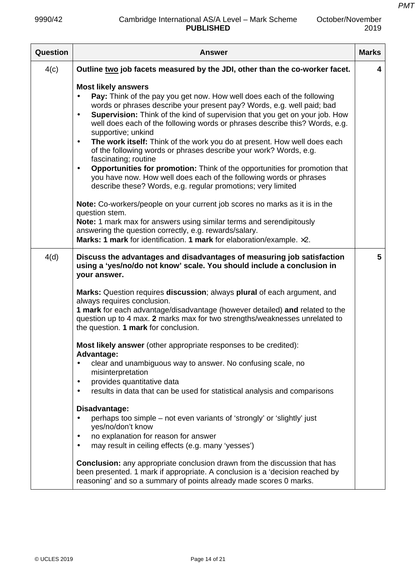| October/November |
|------------------|
| 2019             |

| Question | <b>Answer</b>                                                                                                                                                                                                                                                                                                                                                                                                                                                                                                                                                                                                                                                                                                                                                                                                              | <b>Marks</b> |
|----------|----------------------------------------------------------------------------------------------------------------------------------------------------------------------------------------------------------------------------------------------------------------------------------------------------------------------------------------------------------------------------------------------------------------------------------------------------------------------------------------------------------------------------------------------------------------------------------------------------------------------------------------------------------------------------------------------------------------------------------------------------------------------------------------------------------------------------|--------------|
| 4(c)     | Outline two job facets measured by the JDI, other than the co-worker facet.                                                                                                                                                                                                                                                                                                                                                                                                                                                                                                                                                                                                                                                                                                                                                | 4            |
|          | <b>Most likely answers</b><br>Pay: Think of the pay you get now. How well does each of the following<br>$\bullet$<br>words or phrases describe your present pay? Words, e.g. well paid; bad<br>Supervision: Think of the kind of supervision that you get on your job. How<br>$\bullet$<br>well does each of the following words or phrases describe this? Words, e.g.<br>supportive; unkind<br>The work itself: Think of the work you do at present. How well does each<br>$\bullet$<br>of the following words or phrases describe your work? Words, e.g.<br>fascinating; routine<br><b>Opportunities for promotion:</b> Think of the opportunities for promotion that<br>$\bullet$<br>you have now. How well does each of the following words or phrases<br>describe these? Words, e.g. regular promotions; very limited |              |
|          | <b>Note:</b> Co-workers/people on your current job scores no marks as it is in the<br>question stem.<br>Note: 1 mark max for answers using similar terms and serendipitously<br>answering the question correctly, e.g. rewards/salary.<br>Marks: 1 mark for identification. 1 mark for elaboration/example. x2.                                                                                                                                                                                                                                                                                                                                                                                                                                                                                                            |              |
| 4(d)     | Discuss the advantages and disadvantages of measuring job satisfaction<br>using a 'yes/no/do not know' scale. You should include a conclusion in<br>your answer.                                                                                                                                                                                                                                                                                                                                                                                                                                                                                                                                                                                                                                                           | 5            |
|          | Marks: Question requires discussion; always plural of each argument, and<br>always requires conclusion.<br>1 mark for each advantage/disadvantage (however detailed) and related to the<br>question up to 4 max. 2 marks max for two strengths/weaknesses unrelated to<br>the question. 1 mark for conclusion.                                                                                                                                                                                                                                                                                                                                                                                                                                                                                                             |              |
|          | <b>Most likely answer</b> (other appropriate responses to be credited):<br><b>Advantage:</b><br>clear and unambiguous way to answer. No confusing scale, no<br>$\bullet$                                                                                                                                                                                                                                                                                                                                                                                                                                                                                                                                                                                                                                                   |              |
|          | misinterpretation<br>provides quantitative data<br>$\bullet$<br>results in data that can be used for statistical analysis and comparisons<br>$\bullet$                                                                                                                                                                                                                                                                                                                                                                                                                                                                                                                                                                                                                                                                     |              |
|          | Disadvantage:<br>perhaps too simple – not even variants of 'strongly' or 'slightly' just<br>$\bullet$<br>yes/no/don't know<br>no explanation for reason for answer<br>$\bullet$<br>may result in ceiling effects (e.g. many 'yesses')<br>$\bullet$                                                                                                                                                                                                                                                                                                                                                                                                                                                                                                                                                                         |              |
|          | <b>Conclusion:</b> any appropriate conclusion drawn from the discussion that has<br>been presented. 1 mark if appropriate. A conclusion is a 'decision reached by<br>reasoning' and so a summary of points already made scores 0 marks.                                                                                                                                                                                                                                                                                                                                                                                                                                                                                                                                                                                    |              |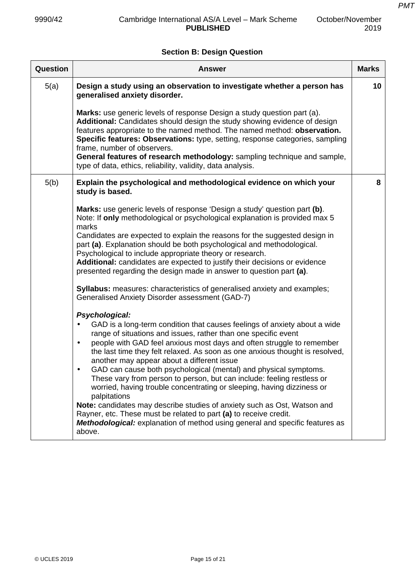# **Section B: Design Question**

| <b>Question</b> | <b>Answer</b>                                                                                                                                                                                                                                                                                                                                                                                                                                                                                                                                                                                                                                                                                                                                                                                                                                                                     | <b>Marks</b> |
|-----------------|-----------------------------------------------------------------------------------------------------------------------------------------------------------------------------------------------------------------------------------------------------------------------------------------------------------------------------------------------------------------------------------------------------------------------------------------------------------------------------------------------------------------------------------------------------------------------------------------------------------------------------------------------------------------------------------------------------------------------------------------------------------------------------------------------------------------------------------------------------------------------------------|--------------|
| 5(a)            | Design a study using an observation to investigate whether a person has<br>generalised anxiety disorder.                                                                                                                                                                                                                                                                                                                                                                                                                                                                                                                                                                                                                                                                                                                                                                          | 10           |
|                 | Marks: use generic levels of response Design a study question part (a).<br>Additional: Candidates should design the study showing evidence of design<br>features appropriate to the named method. The named method: observation.<br>Specific features: Observations: type, setting, response categories, sampling<br>frame, number of observers.<br>General features of research methodology: sampling technique and sample,<br>type of data, ethics, reliability, validity, data analysis.                                                                                                                                                                                                                                                                                                                                                                                       |              |
| 5(b)            | Explain the psychological and methodological evidence on which your<br>study is based.                                                                                                                                                                                                                                                                                                                                                                                                                                                                                                                                                                                                                                                                                                                                                                                            | 8            |
|                 | <b>Marks:</b> use generic levels of response 'Design a study' question part (b).<br>Note: If only methodological or psychological explanation is provided max 5<br>marks<br>Candidates are expected to explain the reasons for the suggested design in<br>part (a). Explanation should be both psychological and methodological.<br>Psychological to include appropriate theory or research.<br>Additional: candidates are expected to justify their decisions or evidence<br>presented regarding the design made in answer to question part (a).<br><b>Syllabus:</b> measures: characteristics of generalised anxiety and examples;                                                                                                                                                                                                                                              |              |
|                 | Generalised Anxiety Disorder assessment (GAD-7)                                                                                                                                                                                                                                                                                                                                                                                                                                                                                                                                                                                                                                                                                                                                                                                                                                   |              |
|                 | Psychological:<br>GAD is a long-term condition that causes feelings of anxiety about a wide<br>range of situations and issues, rather than one specific event<br>people with GAD feel anxious most days and often struggle to remember<br>$\bullet$<br>the last time they felt relaxed. As soon as one anxious thought is resolved,<br>another may appear about a different issue<br>GAD can cause both psychological (mental) and physical symptoms.<br>$\bullet$<br>These vary from person to person, but can include: feeling restless or<br>worried, having trouble concentrating or sleeping, having dizziness or<br>palpitations<br>Note: candidates may describe studies of anxiety such as Ost, Watson and<br>Rayner, etc. These must be related to part (a) to receive credit.<br>Methodological: explanation of method using general and specific features as<br>above. |              |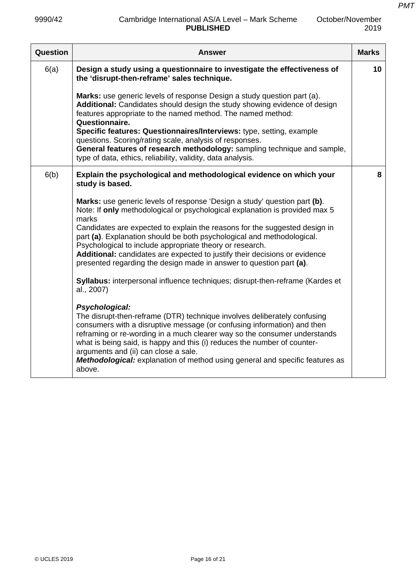| Question | Answer                                                                                                                                                                                                                                                                                                                                                                                                                                                                                                                                                                                                                                                      | <b>Marks</b> |
|----------|-------------------------------------------------------------------------------------------------------------------------------------------------------------------------------------------------------------------------------------------------------------------------------------------------------------------------------------------------------------------------------------------------------------------------------------------------------------------------------------------------------------------------------------------------------------------------------------------------------------------------------------------------------------|--------------|
| 6(a)     | Design a study using a questionnaire to investigate the effectiveness of<br>the 'disrupt-then-reframe' sales technique.                                                                                                                                                                                                                                                                                                                                                                                                                                                                                                                                     | 10           |
|          | Marks: use generic levels of response Design a study question part (a).<br>Additional: Candidates should design the study showing evidence of design<br>features appropriate to the named method. The named method:<br>Questionnaire.<br>Specific features: Questionnaires/Interviews: type, setting, example<br>questions. Scoring/rating scale, analysis of responses.<br>General features of research methodology: sampling technique and sample,<br>type of data, ethics, reliability, validity, data analysis.                                                                                                                                         |              |
| 6(b)     | Explain the psychological and methodological evidence on which your<br>study is based.                                                                                                                                                                                                                                                                                                                                                                                                                                                                                                                                                                      | 8            |
|          | Marks: use generic levels of response 'Design a study' question part (b).<br>Note: If only methodological or psychological explanation is provided max 5<br>marks<br>Candidates are expected to explain the reasons for the suggested design in<br>part (a). Explanation should be both psychological and methodological.<br>Psychological to include appropriate theory or research.<br>Additional: candidates are expected to justify their decisions or evidence<br>presented regarding the design made in answer to question part (a).<br>Syllabus: interpersonal influence techniques; disrupt-then-reframe (Kardes et<br>al., 2007)<br>Psychological: |              |
|          | The disrupt-then-reframe (DTR) technique involves deliberately confusing<br>consumers with a disruptive message (or confusing information) and then<br>reframing or re-wording in a much clearer way so the consumer understands<br>what is being said, is happy and this (i) reduces the number of counter-<br>arguments and (ii) can close a sale.<br><b>Methodological:</b> explanation of method using general and specific features as<br>above.                                                                                                                                                                                                       |              |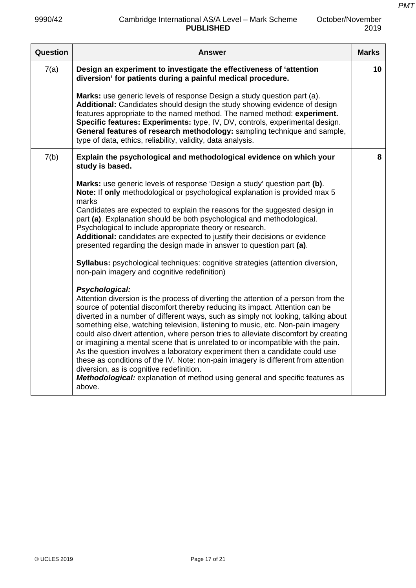| Question | <b>Answer</b>                                                                                                                                                                                                                                                                                                                                                                                                                                                                                                                                                                                                                                                                                                                                                                                                                                                               | <b>Marks</b> |
|----------|-----------------------------------------------------------------------------------------------------------------------------------------------------------------------------------------------------------------------------------------------------------------------------------------------------------------------------------------------------------------------------------------------------------------------------------------------------------------------------------------------------------------------------------------------------------------------------------------------------------------------------------------------------------------------------------------------------------------------------------------------------------------------------------------------------------------------------------------------------------------------------|--------------|
| 7(a)     | Design an experiment to investigate the effectiveness of 'attention<br>diversion' for patients during a painful medical procedure.                                                                                                                                                                                                                                                                                                                                                                                                                                                                                                                                                                                                                                                                                                                                          | 10           |
|          | Marks: use generic levels of response Design a study question part (a).<br>Additional: Candidates should design the study showing evidence of design<br>features appropriate to the named method. The named method: experiment.<br>Specific features: Experiments: type, IV, DV, controls, experimental design.<br>General features of research methodology: sampling technique and sample,<br>type of data, ethics, reliability, validity, data analysis.                                                                                                                                                                                                                                                                                                                                                                                                                  |              |
| 7(b)     | Explain the psychological and methodological evidence on which your<br>study is based.                                                                                                                                                                                                                                                                                                                                                                                                                                                                                                                                                                                                                                                                                                                                                                                      | 8            |
|          | Marks: use generic levels of response 'Design a study' question part (b).<br>Note: If only methodological or psychological explanation is provided max 5<br>marks<br>Candidates are expected to explain the reasons for the suggested design in<br>part (a). Explanation should be both psychological and methodological.<br>Psychological to include appropriate theory or research.<br>Additional: candidates are expected to justify their decisions or evidence<br>presented regarding the design made in answer to question part (a).<br><b>Syllabus:</b> psychological techniques: cognitive strategies (attention diversion,<br>non-pain imagery and cognitive redefinition)<br>Psychological:<br>Attention diversion is the process of diverting the attention of a person from the<br>source of potential discomfort thereby reducing its impact. Attention can be |              |
|          | diverted in a number of different ways, such as simply not looking, talking about<br>something else, watching television, listening to music, etc. Non-pain imagery<br>could also divert attention, where person tries to alleviate discomfort by creating<br>or imagining a mental scene that is unrelated to or incompatible with the pain.<br>As the question involves a laboratory experiment then a candidate could use<br>these as conditions of the IV. Note: non-pain imagery is different from attention<br>diversion, as is cognitive redefinition.<br>Methodological: explanation of method using general and specific features as<br>above.                                                                                                                                                                                                                     |              |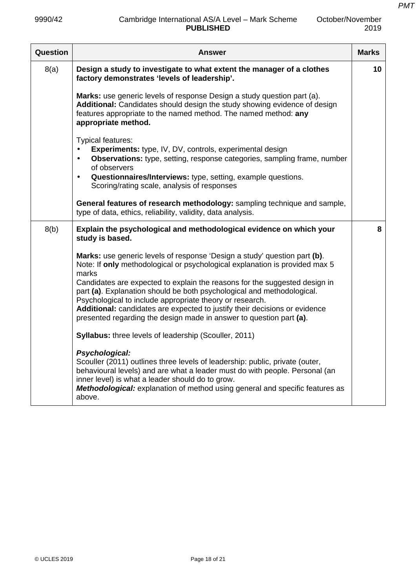| October/November |
|------------------|
| 2019             |

| Question | Answer                                                                                                                                                                                                                                                                                                                                                                                                                                                                                                                                     | <b>Marks</b> |
|----------|--------------------------------------------------------------------------------------------------------------------------------------------------------------------------------------------------------------------------------------------------------------------------------------------------------------------------------------------------------------------------------------------------------------------------------------------------------------------------------------------------------------------------------------------|--------------|
| 8(a)     | Design a study to investigate to what extent the manager of a clothes<br>factory demonstrates 'levels of leadership'.                                                                                                                                                                                                                                                                                                                                                                                                                      | 10           |
|          | Marks: use generic levels of response Design a study question part (a).<br>Additional: Candidates should design the study showing evidence of design<br>features appropriate to the named method. The named method: any<br>appropriate method.                                                                                                                                                                                                                                                                                             |              |
|          | Typical features:<br>Experiments: type, IV, DV, controls, experimental design<br>Observations: type, setting, response categories, sampling frame, number<br>$\bullet$<br>of observers<br>Questionnaires/Interviews: type, setting, example questions.<br>$\bullet$<br>Scoring/rating scale, analysis of responses                                                                                                                                                                                                                         |              |
|          | General features of research methodology: sampling technique and sample,<br>type of data, ethics, reliability, validity, data analysis.                                                                                                                                                                                                                                                                                                                                                                                                    |              |
| 8(b)     | Explain the psychological and methodological evidence on which your<br>study is based.                                                                                                                                                                                                                                                                                                                                                                                                                                                     | 8            |
|          | Marks: use generic levels of response 'Design a study' question part (b).<br>Note: If only methodological or psychological explanation is provided max 5<br>marks<br>Candidates are expected to explain the reasons for the suggested design in<br>part (a). Explanation should be both psychological and methodological.<br>Psychological to include appropriate theory or research.<br>Additional: candidates are expected to justify their decisions or evidence<br>presented regarding the design made in answer to question part (a). |              |
|          | <b>Syllabus:</b> three levels of leadership (Scouller, 2011)                                                                                                                                                                                                                                                                                                                                                                                                                                                                               |              |
|          | Psychological:<br>Scouller (2011) outlines three levels of leadership: public, private (outer,<br>behavioural levels) and are what a leader must do with people. Personal (an<br>inner level) is what a leader should do to grow.<br>Methodological: explanation of method using general and specific features as<br>above.                                                                                                                                                                                                                |              |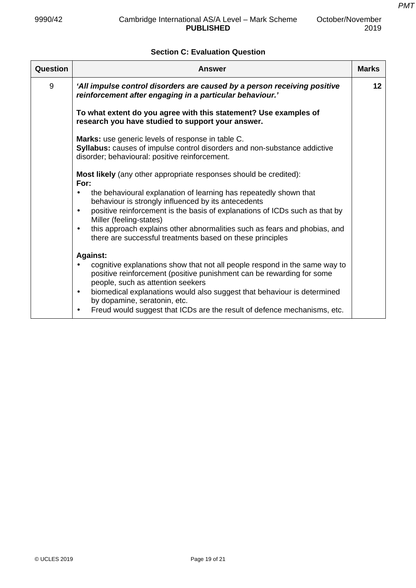# **Section C: Evaluation Question**

| Question | Answer                                                                                                                                                                                        | <b>Marks</b> |
|----------|-----------------------------------------------------------------------------------------------------------------------------------------------------------------------------------------------|--------------|
| 9        | 'All impulse control disorders are caused by a person receiving positive<br>reinforcement after engaging in a particular behaviour.'                                                          | $12 \,$      |
|          | To what extent do you agree with this statement? Use examples of<br>research you have studied to support your answer.                                                                         |              |
|          | Marks: use generic levels of response in table C.<br>Syllabus: causes of impulse control disorders and non-substance addictive<br>disorder; behavioural: positive reinforcement.              |              |
|          | Most likely (any other appropriate responses should be credited):<br>For:                                                                                                                     |              |
|          | the behavioural explanation of learning has repeatedly shown that<br>٠<br>behaviour is strongly influenced by its antecedents                                                                 |              |
|          | positive reinforcement is the basis of explanations of ICDs such as that by<br>$\bullet$<br>Miller (feeling-states)                                                                           |              |
|          | this approach explains other abnormalities such as fears and phobias, and<br>$\bullet$<br>there are successful treatments based on these principles                                           |              |
|          | <b>Against:</b>                                                                                                                                                                               |              |
|          | cognitive explanations show that not all people respond in the same way to<br>٠<br>positive reinforcement (positive punishment can be rewarding for some<br>people, such as attention seekers |              |
|          | biomedical explanations would also suggest that behaviour is determined<br>$\bullet$<br>by dopamine, seratonin, etc.                                                                          |              |
|          | Freud would suggest that ICDs are the result of defence mechanisms, etc.<br>$\bullet$                                                                                                         |              |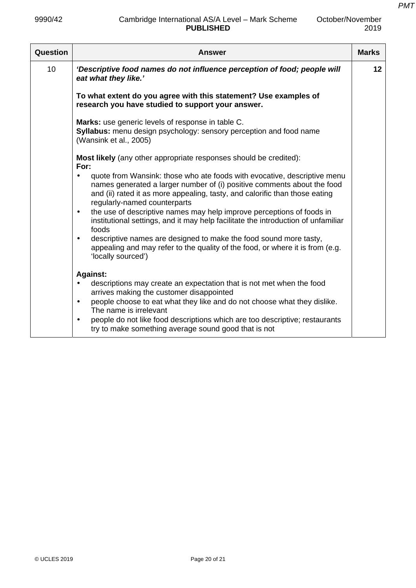| October/November |
|------------------|
| 2019             |

| <b>Question</b> | Answer                                                                                                                                                                                                                                                                          | <b>Marks</b> |
|-----------------|---------------------------------------------------------------------------------------------------------------------------------------------------------------------------------------------------------------------------------------------------------------------------------|--------------|
| 10 <sup>1</sup> | 'Descriptive food names do not influence perception of food; people will<br>eat what they like.'                                                                                                                                                                                | 12           |
|                 | To what extent do you agree with this statement? Use examples of<br>research you have studied to support your answer.                                                                                                                                                           |              |
|                 | Marks: use generic levels of response in table C.<br><b>Syllabus:</b> menu design psychology: sensory perception and food name<br>(Wansink et al., 2005)                                                                                                                        |              |
|                 | <b>Most likely</b> (any other appropriate responses should be credited):<br>For:                                                                                                                                                                                                |              |
|                 | quote from Wansink: those who ate foods with evocative, descriptive menu<br>$\bullet$<br>names generated a larger number of (i) positive comments about the food<br>and (ii) rated it as more appealing, tasty, and calorific than those eating<br>regularly-named counterparts |              |
|                 | the use of descriptive names may help improve perceptions of foods in<br>$\bullet$<br>institutional settings, and it may help facilitate the introduction of unfamiliar<br>foods                                                                                                |              |
|                 | descriptive names are designed to make the food sound more tasty,<br>$\bullet$<br>appealing and may refer to the quality of the food, or where it is from (e.g.<br>'locally sourced')                                                                                           |              |
|                 | <b>Against:</b>                                                                                                                                                                                                                                                                 |              |
|                 | descriptions may create an expectation that is not met when the food                                                                                                                                                                                                            |              |
|                 | arrives making the customer disappointed<br>people choose to eat what they like and do not choose what they dislike.<br>$\bullet$<br>The name is irrelevant                                                                                                                     |              |
|                 | people do not like food descriptions which are too descriptive; restaurants<br>$\bullet$<br>try to make something average sound good that is not                                                                                                                                |              |